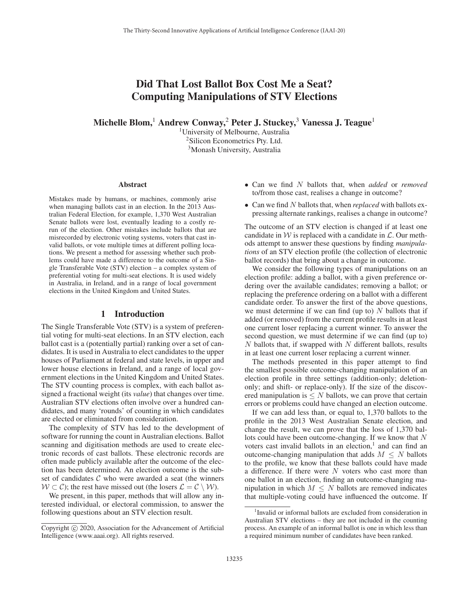# Did That Lost Ballot Box Cost Me a Seat? Computing Manipulations of STV Elections

Michelle Blom,<sup>1</sup> Andrew Conway,<sup>2</sup> Peter J. Stuckey,<sup>3</sup> Vanessa J. Teague<sup>1</sup>

<sup>1</sup>University of Melbourne, Australia <sup>2</sup>Silicon Econometrics Pty. Ltd. 3Monash University, Australia

#### Abstract

Mistakes made by humans, or machines, commonly arise when managing ballots cast in an election. In the 2013 Australian Federal Election, for example, 1,370 West Australian Senate ballots were lost, eventually leading to a costly rerun of the election. Other mistakes include ballots that are misrecorded by electronic voting systems, voters that cast invalid ballots, or vote multiple times at different polling locations. We present a method for assessing whether such problems could have made a difference to the outcome of a Single Transferable Vote (STV) election – a complex system of preferential voting for multi-seat elections. It is used widely in Australia, in Ireland, and in a range of local government elections in the United Kingdom and United States.

## 1 Introduction

The Single Transferable Vote (STV) is a system of preferential voting for multi-seat elections. In an STV election, each ballot cast is a (potentially partial) ranking over a set of candidates. It is used in Australia to elect candidates to the upper houses of Parliament at federal and state levels, in upper and lower house elections in Ireland, and a range of local government elections in the United Kingdom and United States. The STV counting process is complex, with each ballot assigned a fractional weight (its *value*) that changes over time. Australian STV elections often involve over a hundred candidates, and many 'rounds' of counting in which candidates are elected or eliminated from consideration.

The complexity of STV has led to the development of software for running the count in Australian elections. Ballot scanning and digitisation methods are used to create electronic records of cast ballots. These electronic records are often made publicly available after the outcome of the election has been determined. An election outcome is the subset of candidates  $C$  who were awarded a seat (the winners  $W \subset \mathcal{C}$ ; the rest have missed out (the losers  $\mathcal{L} = \mathcal{C} \setminus \mathcal{W}$ ).

We present, in this paper, methods that will allow any interested individual, or electoral commission, to answer the following questions about an STV election result.

- Can we find N ballots that, when *added* or *removed* to/from those cast, realises a change in outcome?
- Can we find N ballots that, when *replaced* with ballots expressing alternate rankings, realises a change in outcome?

The outcome of an STV election is changed if at least one candidate in  $W$  is replaced with a candidate in  $\mathcal{L}$ . Our methods attempt to answer these questions by finding *manipulations* of an STV election profile (the collection of electronic ballot records) that bring about a change in outcome.

We consider the following types of manipulations on an election profile: adding a ballot, with a given preference ordering over the available candidates; removing a ballot; or replacing the preference ordering on a ballot with a different candidate order. To answer the first of the above questions, we must determine if we can find (up to)  $N$  ballots that if added (or removed) from the current profile results in at least one current loser replacing a current winner. To answer the second question, we must determine if we can find (up to)  $N$  ballots that, if swapped with  $N$  different ballots, results in at least one current loser replacing a current winner.

The methods presented in this paper attempt to find the smallest possible outcome-changing manipulation of an election profile in three settings (addition-only; deletiononly; and shift- or replace-only). If the size of the discovered manipulation is  $\leq N$  ballots, we can prove that certain errors or problems could have changed an election outcome.

If we can add less than, or equal to, 1,370 ballots to the profile in the 2013 West Australian Senate election, and change the result, we can prove that the loss of 1,370 ballots could have been outcome-changing. If we know that N voters cast invalid ballots in an election, $<sup>1</sup>$  and can find an</sup> outcome-changing manipulation that adds  $M \leq N$  ballots to the profile, we know that these ballots could have made a difference. If there were  $N$  voters who cast more than one ballot in an election, finding an outcome-changing manipulation in which  $M \leq N$  ballots are removed indicates that multiple-voting could have influenced the outcome. If

Copyright  $\odot$  2020, Association for the Advancement of Artificial Intelligence (www.aaai.org). All rights reserved.

<sup>&</sup>lt;sup>1</sup> Invalid or informal ballots are excluded from consideration in Australian STV elections – they are not included in the counting process. An example of an informal ballot is one in which less than a required minimum number of candidates have been ranked.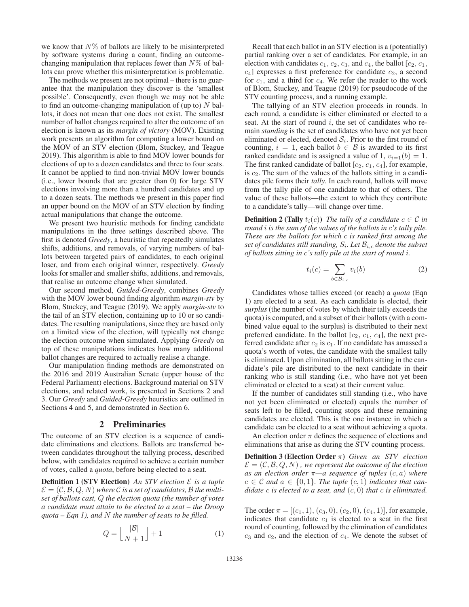we know that  $N\%$  of ballots are likely to be misinterpreted by software systems during a count, finding an outcomechanging manipulation that replaces fewer than  $N\%$  of ballots can prove whether this misinterpretation is problematic.

The methods we present are not optimal – there is no guarantee that the manipulation they discover is the 'smallest possible'. Consequently, even though we may not be able to find an outcome-changing manipulation of (up to)  $N$  ballots, it does not mean that one does not exist. The smallest number of ballot changes required to alter the outcome of an election is known as its *margin of victory* (MOV). Existing work presents an algorithm for computing a lower bound on the MOV of an STV election (Blom, Stuckey, and Teague 2019). This algorithm is able to find MOV lower bounds for elections of up to a dozen candidates and three to four seats. It cannot be applied to find non-trivial MOV lower bounds (i.e., lower bounds that are greater than 0) for large STV elections involving more than a hundred candidates and up to a dozen seats. The methods we present in this paper find an upper bound on the MOV of an STV election by finding actual manipulations that change the outcome.

We present two heuristic methods for finding candidate manipulations in the three settings described above. The first is denoted *Greedy*, a heuristic that repeatedly simulates shifts, additions, and removals, of varying numbers of ballots between targeted pairs of candidates, to each original loser, and from each original winner, respectively. *Greedy* looks for smaller and smaller shifts, additions, and removals, that realise an outcome change when simulated.

Our second method, *Guided-Greedy*, combines *Greedy* with the MOV lower bound finding algorithm *margin-stv* by Blom, Stuckey, and Teague (2019). We apply *margin-stv* to the tail of an STV election, containing up to 10 or so candidates. The resulting manipulations, since they are based only on a limited view of the election, will typically not change the election outcome when simulated. Applying *Greedy* on top of these manipulations indicates how many additional ballot changes are required to actually realise a change.

Our manipulation finding methods are demonstrated on the 2016 and 2019 Australian Senate (upper house of the Federal Parliament) elections. Background material on STV elections, and related work, is presented in Sections 2 and 3. Our *Greedy* and *Guided-Greedy* heuristics are outlined in Sections 4 and 5, and demonstrated in Section 6.

## 2 Preliminaries

The outcome of an STV election is a sequence of candidate eliminations and elections. Ballots are transferred between candidates throughout the tallying process, described below, with candidates required to achieve a certain number of votes, called a *quota*, before being elected to a seat.

**Definition 1 (STV Election)** *An STV election*  $\mathcal{E}$  *is a tuple*  $\mathcal{E} = (\mathcal{C}, \mathcal{B}, Q, N)$  where C is a set of candidates, B the multi*set of ballots cast,* Q *the election quota (the number of votes a candidate must attain to be elected to a seat – the Droop quota – Eqn 1), and* N *the number of seats to be filled.*

$$
Q = \left\lfloor \frac{|\mathcal{B}|}{N+1} \right\rfloor + 1 \tag{1}
$$

Recall that each ballot in an STV election is a (potentially) partial ranking over a set of candidates. For example, in an election with candidates  $c_1$ ,  $c_2$ ,  $c_3$ , and  $c_4$ , the ballot [ $c_2$ ,  $c_1$ ,  $c_4$ ] expresses a first preference for candidate  $c_2$ , a second for  $c_1$ , and a third for  $c_4$ . We refer the reader to the work of Blom, Stuckey, and Teague (2019) for pseudocode of the STV counting process, and a running example.

The tallying of an STV election proceeds in rounds. In each round, a candidate is either eliminated or elected to a seat. At the start of round  $i$ , the set of candidates who remain *standing* is the set of candidates who have not yet been eliminated or elected, denoted  $S_i$ . Prior to the first round of counting,  $i = 1$ , each ballot  $b \in \mathcal{B}$  is awarded to its first ranked candidate and is assigned a value of 1,  $v_{i=1}(b)=1$ . The first ranked candidate of ballot  $[c_2, c_1, c_4]$ , for example, is  $c_2$ . The sum of the values of the ballots sitting in a candidates pile forms their *tally*. In each round, ballots will move from the tally pile of one candidate to that of others. The value of these ballots—the extent to which they contribute to a candidate's tally—will change over time.

**Definition 2 (Tally**  $t_i(c)$ ) *The tally of a candidate*  $c \in \mathcal{C}$  *in round* i *is the sum of the values of the ballots in* c*'s tally pile. These are the ballots for which* c *is ranked first among the set of candidates still standing,*  $S_i$ *. Let*  $\mathcal{B}_{i,c}$  *denote the subset of ballots sitting in* c*'s tally pile at the start of round* i*.*

$$
t_i(c) = \sum_{b \in \mathcal{B}_{i,c}} v_i(b) \tag{2}
$$

Candidates whose tallies exceed (or reach) a *quota* (Eqn 1) are elected to a seat. As each candidate is elected, their *surplus* (the number of votes by which their tally exceeds the quota) is computed, and a subset of their ballots (with a combined value equal to the surplus) is distributed to their next preferred candidate. In the ballot  $[c_2, c_1, c_4]$ , the next preferred candidate after  $c_2$  is  $c_1$ . If no candidate has amassed a quota's worth of votes, the candidate with the smallest tally is eliminated. Upon elimination, all ballots sitting in the candidate's pile are distributed to the next candidate in their ranking who is still standing (i.e., who have not yet been eliminated or elected to a seat) at their current value.

If the number of candidates still standing (i.e., who have not yet been eliminated or elected) equals the number of seats left to be filled, counting stops and these remaining candidates are elected. This is the one instance in which a candidate can be elected to a seat without achieving a quota.

An election order  $\pi$  defines the sequence of elections and eliminations that arise as during the STV counting process.

Definition 3 (Election Order π) *Given an STV election*  $\mathcal{E} = (\mathcal{C}, \mathcal{B}, Q, N)$ , we represent the outcome of the election *as an election order*  $\pi$ —*a sequence of tuples*  $(c, a)$  *where*  $c \in \mathcal{C}$  and  $a \in \{0,1\}$ . The tuple  $(c,1)$  indicates that can*didate* c *is elected to a seat, and* (c, 0) *that* c *is eliminated.*

The order  $\pi = [(c_1, 1), (c_3, 0), (c_2, 0), (c_4, 1)]$ , for example, indicates that candidate  $c_1$  is elected to a seat in the first round of counting, followed by the elimination of candidates  $c_3$  and  $c_2$ , and the election of  $c_4$ . We denote the subset of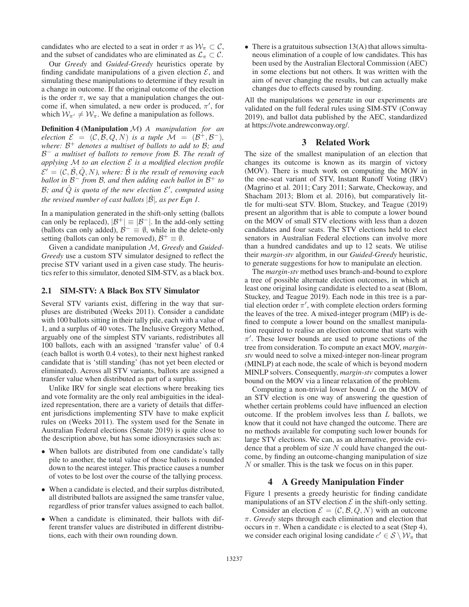candidates who are elected to a seat in order  $\pi$  as  $\mathcal{W}_{\pi} \subset \mathcal{C}$ , and the subset of candidates who are eliminated as  $\mathcal{L}_{\pi} \subset \mathcal{C}$ .

Our *Greedy* and *Guided-Greedy* heuristics operate by finding candidate manipulations of a given election  $\mathcal{E}$ , and simulating these manipulations to determine if they result in a change in outcome. If the original outcome of the election is the order  $\pi$ , we say that a manipulation changes the outcome if, when simulated, a new order is produced,  $\pi'$ , for which  $W_{\pi'} \neq W_{\pi}$ . We define a manipulation as follows.

Definition 4 (Manipulation M) *A manipulation for an election*  $\mathcal{E} = (\mathcal{C}, \mathcal{B}, Q, N)$  *is a tuple*  $\mathcal{M} = (\mathcal{B}^+, \mathcal{B}^-)$ *, where:* B<sup>+</sup> *denotes a multiset of ballots to add to* B*; and* B<sup>−</sup> *a multiset of ballots to remove from* B*. The result of applying* M *to an election* E *is a modified election profile*  $\mathcal{E}' = (\mathcal{C}, \mathcal{B}, \mathcal{Q}, N)$ , where:  $\mathcal{B}$  is the result of removing each *ballot in* B<sup>−</sup> *from* B*, and then adding each ballot in* B<sup>+</sup> *to* B; and  $\hat{Q}$  is quota of the new election  $\mathcal{E}'$ , computed using *the revised number of cast ballots*  $|\hat{\mathcal{B}}|$ *, as per Eqn 1.* 

In a manipulation generated in the shift-only setting (ballots can only be replaced),  $|\mathcal{B}^+| \equiv |\mathcal{B}^-|$ . In the add-only setting (ballots can only added),  $\mathcal{B}^- \equiv \emptyset$ , while in the delete-only setting (ballots can only be removed),  $\mathcal{B}^+ \equiv \emptyset$ .

Given a candidate manipulation M, *Greedy* and *Guided-Greedy* use a custom STV simulator designed to reflect the precise STV variant used in a given case study. The heuristics refer to this simulator, denoted SIM-STV, as a black box.

## 2.1 SIM-STV: A Black Box STV Simulator

Several STV variants exist, differing in the way that surpluses are distributed (Weeks 2011). Consider a candidate with 100 ballots sitting in their tally pile, each with a value of 1, and a surplus of 40 votes. The Inclusive Gregory Method, arguably one of the simplest STV variants, redistributes all 100 ballots, each with an assigned 'transfer value' of 0.4 (each ballot is worth 0.4 votes), to their next highest ranked candidate that is 'still standing' (has not yet been elected or eliminated). Across all STV variants, ballots are assigned a transfer value when distributed as part of a surplus.

Unlike IRV for single seat elections where breaking ties and vote formality are the only real ambiguities in the idealized representation, there are a variety of details that different jurisdictions implementing STV have to make explicit rules on (Weeks 2011). The system used for the Senate in Australian Federal elections (Senate 2019) is quite close to the description above, but has some idiosyncrasies such as:

- When ballots are distributed from one candidate's tally pile to another, the total value of those ballots is rounded down to the nearest integer. This practice causes a number of votes to be lost over the course of the tallying process.
- When a candidate is elected, and their surplus distributed, all distributed ballots are assigned the same transfer value, regardless of prior transfer values assigned to each ballot.
- When a candidate is eliminated, their ballots with different transfer values are distributed in different distributions, each with their own rounding down.

• There is a gratuitous subsection  $13(A)$  that allows simultaneous elimination of a couple of low candidates. This has been used by the Australian Electoral Commission (AEC) in some elections but not others. It was written with the aim of never changing the results, but can actually make changes due to effects caused by rounding.

All the manipulations we generate in our experiments are validated on the full federal rules using SIM-STV (Conway 2019), and ballot data published by the AEC, standardized at https://vote.andrewconway.org/.

## 3 Related Work

The size of the smallest manipulation of an election that changes its outcome is known as its margin of victory (MOV). There is much work on computing the MOV in the one-seat variant of STV, Instant Runoff Voting (IRV) (Magrino et al. 2011; Cary 2011; Sarwate, Checkoway, and Shacham 2013; Blom et al. 2016), but comparatively little for multi-seat STV. Blom, Stuckey, and Teague (2019) present an algorithm that is able to compute a lower bound on the MOV of small STV elections with less than a dozen candidates and four seats. The STV elections held to elect senators in Australian Federal elections can involve more than a hundred candidates and up to 12 seats. We utilise their *margin-stv* algorithm, in our *Guided-Greedy* heuristic, to generate suggestions for how to manipulate an election.

The *margin-stv* method uses branch-and-bound to explore a tree of possible alternate election outcomes, in which at least one original losing candidate is elected to a seat (Blom, Stuckey, and Teague 2019). Each node in this tree is a partial election order  $\pi'$ , with complete election orders forming the leaves of the tree. A mixed-integer program (MIP) is defined to compute a lower bound on the smallest manipulation required to realise an election outcome that starts with  $\pi'$ . These lower bounds are used to prune sections of the tree from consideration. To compute an exact MOV, *marginstv* would need to solve a mixed-integer non-linear program (MINLP) at each node, the scale of which is beyond modern MINLP solvers. Consequently, *margin-stv* computes a lower bound on the MOV via a linear relaxation of the problem.

Computing a non-trivial lower bound  $L$  on the MOV of an STV election is one way of answering the question of whether certain problems could have influenced an election outcome. If the problem involves less than  $L$  ballots, we know that it could not have changed the outcome. There are no methods available for computing such lower bounds for large STV elections. We can, as an alternative, provide evidence that a problem of size  $N$  could have changed the outcome, by finding an outcome-changing manipulation of size N or smaller. This is the task we focus on in this paper.

#### 4 A Greedy Manipulation Finder

Figure 1 presents a greedy heuristic for finding candidate manipulations of an STV election  $\mathcal E$  in the shift-only setting.

Consider an election  $\mathcal{E} = (\mathcal{C}, \mathcal{B}, Q, N)$  with an outcome π. *Greedy* steps through each elimination and election that occurs in  $\pi$ . When a candidate c is elected to a seat (Step 4), we consider each original losing candidate  $c' \in S \setminus W_\pi$  that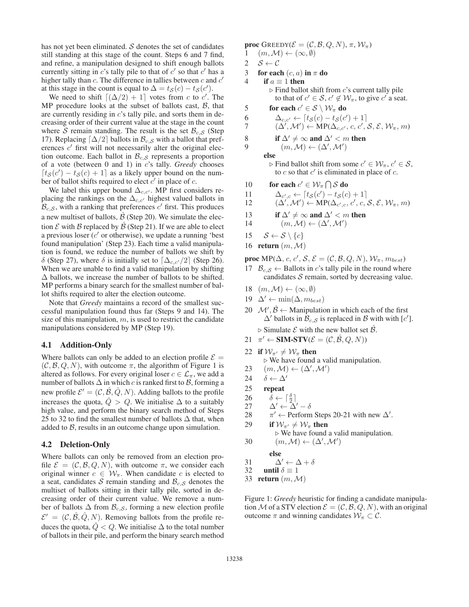has not yet been eliminated.  $S$  denotes the set of candidates still standing at this stage of the count. Steps 6 and 7 find, and refine, a manipulation designed to shift enough ballots currently sitting in  $c$ 's tally pile to that of  $c'$  so that  $c'$  has a higher tally than  $c$ . The difference in tallies between  $c$  and  $c'$ at this stage in the count is equal to  $\Delta = t_{\mathcal{S}}(c) - t_{\mathcal{S}}(c')$ .

We need to shift  $[(\Delta/2) + 1]$  votes from c to c'. The MP procedure looks at the subset of ballots cast,  $B$ , that are currently residing in c's tally pile, and sorts them in decreasing order of their current value at the stage in the count where S remain standing. The result is the set  $\mathcal{B}_{c,S}$  (Step 17). Replacing  $\lceil \Delta/2 \rceil$  ballots in  $\mathcal{B}_{c, S}$  with a ballot that preferences  $c'$  first will not necessarily alter the original election outcome. Each ballot in  $\mathcal{B}_{c,S}$  represents a proportion of a vote (between 0 and 1) in c's tally. *Greedy* chooses  $[t<sub>S</sub>(c') - t<sub>S</sub>(c) + 1]$  as a likely upper bound on the number of ballot shifts required to elect  $c'$  in place of  $c$ .

We label this upper bound  $\Delta_{c,c'}$ . MP first considers replacing the rankings on the  $\Delta_{c,c'}$  highest valued ballots in  $R_{c}$ , with a ranking that preferences  $c'$  first. This produces  $\mathcal{B}_{c, S}$ , with a ranking that preferences  $c'$  first. This produces a new multiset of ballots,  $\hat{B}$  (Step 20). We simulate the election  $\mathcal E$  with  $\mathcal B$  replaced by  $\hat{\mathcal B}$  (Step 21). If we are able to elect a previous loser  $(c'$  or otherwise), we update a running 'best found manipulation' (Step 23). Each time a valid manipulation is found, we reduce the number of ballots we shift by δ (Step 27), where δ is initially set to  $\left[\Delta_{c,c'}/2\right]$  (Step 26).<br>When we are unable to find a valid manipulation by shifting When we are unable to find a valid manipulation by shifting  $\Delta$  ballots, we increase the number of ballots to be shifted. MP performs a binary search for the smallest number of ballot shifts required to alter the election outcome.

Note that *Greedy* maintains a record of the smallest successful manipulation found thus far (Steps 9 and 14). The size of this manipulation,  $m$ , is used to restrict the candidate manipulations considered by MP (Step 19).

### 4.1 Addition-Only

Where ballots can only be added to an election profile  $\mathcal{E} =$  $(C, \mathcal{B}, Q, N)$ , with outcome  $\pi$ , the algorithm of Figure 1 is altered as follows. For every original loser  $c \in \mathcal{L}_{\pi}$ , we add a number of ballots  $\Delta$  in which c is ranked first to  $\beta$ , forming a new profile  $\mathcal{E}' = (\mathcal{C}, \mathcal{B}, \mathcal{Q}, \mathcal{N})$ . Adding ballots to the profile increases the quota,  $\ddot{Q} > Q$ . We initialise  $\Delta$  to a suitably high value, and perform the binary search method of Steps 25 to 32 to find the smallest number of ballots  $\Delta$  that, when added to  $B$ , results in an outcome change upon simulation.

#### 4.2 Deletion-Only

Where ballots can only be removed from an election profile  $\mathcal{E} = (\mathcal{C}, \mathcal{B}, Q, N)$ , with outcome  $\pi$ , we consider each original winner  $c \in W_\pi$ . When candidate c is elected to a seat, candidates S remain standing and  $\mathcal{B}_{c,S}$  denotes the multiset of ballots sitting in their tally pile, sorted in decreasing order of their current value. We remove a number of ballots  $\Delta$  from  $\mathcal{B}_{c,S}$ , forming a new election profile  $\mathcal{E}' = (\mathcal{C}, \mathcal{B}, \mathcal{Q}, N)$ . Removing ballots from the profile reduces the quota,  $\hat{Q} < Q$ . We initialise  $\Delta$  to the total number of ballots in their pile, and perform the binary search method **proc** GREEDY( $\mathcal{E} = (\mathcal{C}, \mathcal{B}, Q, N), \pi, \mathcal{W}_{\pi}$ )<br>  $1 \quad (m, \mathcal{M}) \leftarrow (\infty, \emptyset)$  $(m,\mathcal{M}) \leftarrow (\infty,\emptyset)$ 

- 
- 2  $S \leftarrow C$
- 3 for each  $(c, a)$  in  $\pi$  do
- 4 if  $a \equiv 1$  then  $\triangleright$  Find ballot shift from c's current tally pile to that of  $c' \in S$ ,  $c' \notin W_\pi$ , to give  $c'$  a seat.
- 5 for each  $c' \in S \setminus W_\pi$  do<br>6  $\Delta_{c,c'} \leftarrow [t_S(c) t_S(c')]$
- 6  $\Delta_{c,c'} \leftarrow [t_{\mathcal{S}}(c) t_{\mathcal{S}}(c') + 1]$ <br>7  $(\Delta' \Delta') \leftarrow \text{MP}(\Delta + c, c')$
- 7  $(\Delta', \mathcal{M}') \leftarrow \text{MP}(\Delta_{c,c'}, c, c', \mathcal{S}, \mathcal{E}, \mathcal{W}_{\pi}, m)$
- 8 if  $\Delta' \neq \infty$  and  $\Delta' < m$  then<br>9  $(m, M) \leftarrow (\Delta', M')$

9  $(m, \mathcal{M}) \leftarrow (\Delta', \mathcal{M}')$ 

```
else
```
- $\triangleright$  Find ballot shift from some  $c' \in \mathcal{W}_{\pi}, c' \in \mathcal{S}$ , to  $c$  so that  $c'$  is eliminated in place of  $c$ .
- 10 for each  $c' \in W_\pi \cap S$  do

11 
$$
\Delta_{c',c} \leftarrow [t_{\mathcal{S}}(c') - t_{\mathcal{S}}(c) + 1] \n12 \qquad (\Delta', \mathcal{M}') \leftarrow \text{MP}(\Delta_{c',c}, c', c, \mathcal{S}, \mathcal{E}, \mathcal{W}_{\pi}, m)
$$

- 13 if  $\Delta' \neq \infty$  and  $\Delta' < m$  then
- 14  $(m, \mathcal{M}) \leftarrow (\Delta', \mathcal{M}')$
- 15  $S \leftarrow S \setminus \{c\}$
- 16 return  $(m, \mathcal{M})$

**proc** MP( $\Delta$ , c, c', S,  $\mathcal{E} = (\mathcal{C}, \mathcal{B}, Q, N), \mathcal{W}_{\pi}, m_{best}$ )

- 17  $B_{c, S} \leftarrow$  Ballots in c's tally pile in the round where candidates  $S$  remain, sorted by decreasing value.
- 18  $(m, \mathcal{M}) \leftarrow (\infty, \emptyset)$
- 19  $\Delta' \leftarrow \min(\Delta, m_{best})$
- 20  $\mathcal{M}', \hat{\mathcal{B}} \leftarrow$  Manipulation in which each of the first  $\Delta'$  ballots in  $\mathcal{B}_{c,S}$  is replaced in B with with [c'].  $\triangleright$  Simulate  $\mathcal E$  with the new ballot set  $\hat{\mathcal B}$ .
- 21  $\pi' \leftarrow \text{SIM-STV}(\mathcal{E} = (\mathcal{C}, \hat{\mathcal{B}}, Q, N))$
- 22 if  $W_{\pi'} \neq W_{\pi}$  then
	- $\triangleright$  We have found a valid manipulation.
- 23  $(m, \mathcal{M}) \leftarrow (\Delta', \mathcal{M}')$
- 24  $\delta \leftarrow \Delta'$
- 25 repeat
- 26  $\delta \leftarrow \lceil \frac{\delta}{2} \rceil$
- 27  $\Delta' \leftarrow \Delta' \delta$
- 28  $\pi' \leftarrow$  Perform Steps 20-21 with new  $\Delta'$ .
- 29 if  $W_{\pi'} \neq W_{\pi}$  then  $\triangleright$  We have found a valid manipulation. 30  $(m, \mathcal{M}) \leftarrow (\Delta', \mathcal{M}')$

else

31  $\Delta' \leftarrow \Delta + \delta$ 

- 32 until  $\delta \equiv 1$
- 33 return  $(m, \mathcal{M})$

Figure 1: *Greedy* heuristic for finding a candidate manipulation M of a STV election  $\mathcal{E} = (\mathcal{C}, \mathcal{B}, Q, N)$ , with an original outcome  $\pi$  and winning candidates  $W_{\pi} \subset \mathcal{C}$ .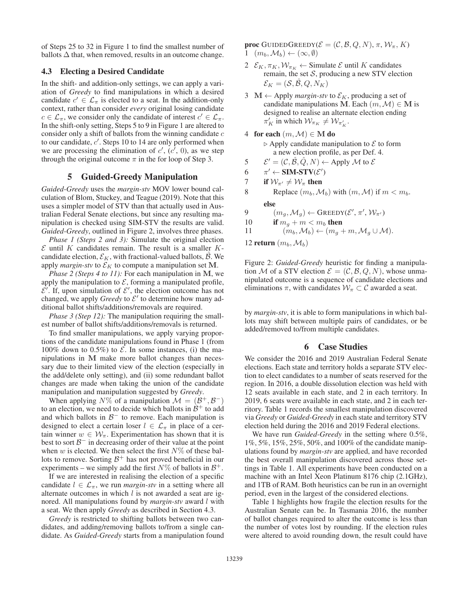of Steps 25 to 32 in Figure 1 to find the smallest number of ballots  $\Delta$  that, when removed, results in an outcome change.

# 4.3 Electing a Desired Candidate

In the shift- and addition-only settings, we can apply a variation of *Greedy* to find manipulations in which a desired candidate  $c' \in \mathcal{L}_{\pi}$  is elected to a seat. In the addition-only context, rather than consider *every* original losing candidate  $c \in \mathcal{L}_{\pi}$ , we consider only the candidate of interest  $c' \in \mathcal{L}_{\pi}$ . In the shift-only setting, Steps 5 to 9 in Figure 1 are altered to consider only a shift of ballots from the winning candidate  $c$ to our candidate,  $c'$ . Steps 10 to 14 are only performed when we are processing the elimination of  $c'$ ,  $(c', 0)$ , as we step through the original outcome  $\pi$  in the for loop of Step 3.

## 5 Guided-Greedy Manipulation

*Guided-Greedy* uses the *margin-stv* MOV lower bound calculation of Blom, Stuckey, and Teague (2019). Note that this uses a simpler model of STV than that actually used in Australian Federal Senate elections, but since any resulting manipulation is checked using SIM-STV the results are valid. *Guided-Greedy*, outlined in Figure 2, involves three phases.

*Phase 1 (Steps 2 and 3):* Simulate the original election  $\mathcal E$  until K candidates remain. The result is a smaller Kcandidate election,  $\mathcal{E}_K$ , with fractional-valued ballots,  $\hat{\mathcal{B}}$ . We apply *margin-stv* to  $\mathcal{E}_K$  to compute a manipulation set M.

*Phase 2 (Steps 4 to 11):* For each manipulation in **M**, we apply the manipulation to  $\mathcal E$ , forming a manipulated profile,  $\mathcal{E}'$ . If, upon simulation of  $\mathcal{E}'$ , the election outcome has not changed, we apply *Greedy* to  $\mathcal{E}'$  to determine how many additional ballot shifts/additions/removals are required.

*Phase 3 (Step 12):* The manipulation requiring the smallest number of ballot shifts/additions/removals is returned.

To find smaller manipulations, we apply varying proportions of the candidate manipulations found in Phase 1 (from 100% down to 0.5%) to  $\mathcal{E}$ . In some instances, (i) the manipulations in **M** make more ballot changes than necessary due to their limited view of the election (especially in the add/delete only setting), and (ii) some redundant ballot changes are made when taking the union of the candidate manipulation and manipulation suggested by *Greedy*.

When applying  $N\%$  of a manipulation  $\mathcal{M} = (\mathcal{B}^+, \mathcal{B}^-)$ to an election, we need to decide which ballots in  $\mathcal{B}^+$  to add and which ballots in  $\mathcal{B}^-$  to remove. Each manipulation is designed to elect a certain loser  $l \in \mathcal{L}_{\pi}$  in place of a certain winner  $w \in \mathcal{W}_{\pi}$ . Experimentation has shown that it is best to sort  $\beta^-$  in decreasing order of their value at the point when w is elected. We then select the first  $N\%$  of these ballots to remove. Sorting  $\mathcal{B}^+$  has not proved beneficial in our experiments – we simply add the first  $N\%$  of ballots in  $\mathcal{B}^+$ .

If we are interested in realising the election of a specific candidate  $l \in \mathcal{L}_{\pi}$ , we run *margin-stv* in a setting where all alternate outcomes in which  $l$  is not awarded a seat are ignored. All manipulations found by *margin-stv* award l with a seat. We then apply *Greedy* as described in Section 4.3.

*Greedy* is restricted to shifting ballots between two candidates, and adding/removing ballots to/from a single candidate. As *Guided-Greedy* starts from a manipulation found **proc** GUIDEDGREEDY( $\mathcal{E} = (\mathcal{C}, \mathcal{B}, Q, N), \pi, \mathcal{W}_{\pi}, K$ )  $1 \quad (m_b, \mathcal{M}_b) \leftarrow (\infty, \emptyset)$ 

- 2  $\mathcal{E}_K$ ,  $\pi_K$ ,  $\mathcal{W}_{\pi_K}$   $\leftarrow$  Simulate  $\mathcal E$  until K candidates remain, the set  $S$ , producing a new STV election  $\mathcal{E}_K = (\mathcal{S}, \hat{\mathcal{B}}, Q, N_K)$
- 3  $M \leftarrow$  Apply *margin-stv* to  $\mathcal{E}_K$ , producing a set of candidate manipulations **M**. Each  $(m, \mathcal{M}) \in \mathbf{M}$  is designed to realise an alternate election ending  $\pi'_K$  in which  $\mathcal{W}_{\pi_K} \neq \mathcal{W}_{\pi'_K}$ .
- 4 for each  $(m, \mathcal{M}) \in M$  do  $\triangleright$  Apply candidate manipulation to  $\mathcal E$  to form a new election profile, as per Def. 4.
- 5  $\mathcal{E}' = (\mathcal{C}, \hat{\mathcal{B}}, \hat{\mathcal{Q}}, N) \leftarrow$  Apply M to  $\mathcal{E}$
- 6  $\pi' \leftarrow \text{SIM-STV}(\mathcal{E}')$
- 7 if  $W_{\pi'} \neq W_{\pi}$  then
- 8 Replace  $(m_b, \mathcal{M}_b)$  with  $(m, \mathcal{M})$  if  $m < m_b$ . else
- 9  $(m_g, M_g) \leftarrow \text{GREDY}(\mathcal{E}', \pi', \mathcal{W}_{\pi'})$
- 10 if  $m_g + m < m_b$  then
- 11  $(m_b, \mathcal{M}_b) \leftarrow (m_g + m, \mathcal{M}_g \cup \mathcal{M}).$
- 12 return  $(m_b, \mathcal{M}_b)$

Figure 2: *Guided-Greedy* heuristic for finding a manipulation M of a STV election  $\mathcal{E} = (\mathcal{C}, \mathcal{B}, Q, N)$ , whose unmanipulated outcome is a sequence of candidate elections and eliminations  $\pi$ , with candidates  $\mathcal{W}_\pi \subset \mathcal{C}$  awarded a seat.

by *margin-stv*, it is able to form manipulations in which ballots may shift between multiple pairs of candidates, or be added/removed to/from multiple candidates.

# 6 Case Studies

We consider the 2016 and 2019 Australian Federal Senate elections. Each state and territory holds a separate STV election to elect candidates to a number of seats reserved for the region. In 2016, a double dissolution election was held with 12 seats available in each state, and 2 in each territory. In 2019, 6 seats were available in each state, and 2 in each territory. Table 1 records the smallest manipulation discovered via *Greedy* or *Guided-Greedy* in each state and territory STV election held during the 2016 and 2019 Federal elections.

We have run *Guided-Greedy* in the setting where 0.5%, 1%, 5%, 15%, 25%, 50%, and 100% of the candidate manipulations found by *margin-stv* are applied, and have recorded the best overall manipulation discovered across those settings in Table 1. All experiments have been conducted on a machine with an Intel Xeon Platinum 8176 chip (2.1GHz), and 1TB of RAM. Both heuristics can be run in an overnight period, even in the largest of the considered elections.

Table 1 highlights how fragile the election results for the Australian Senate can be. In Tasmania 2016, the number of ballot changes required to alter the outcome is less than the number of votes lost by rounding. If the election rules were altered to avoid rounding down, the result could have